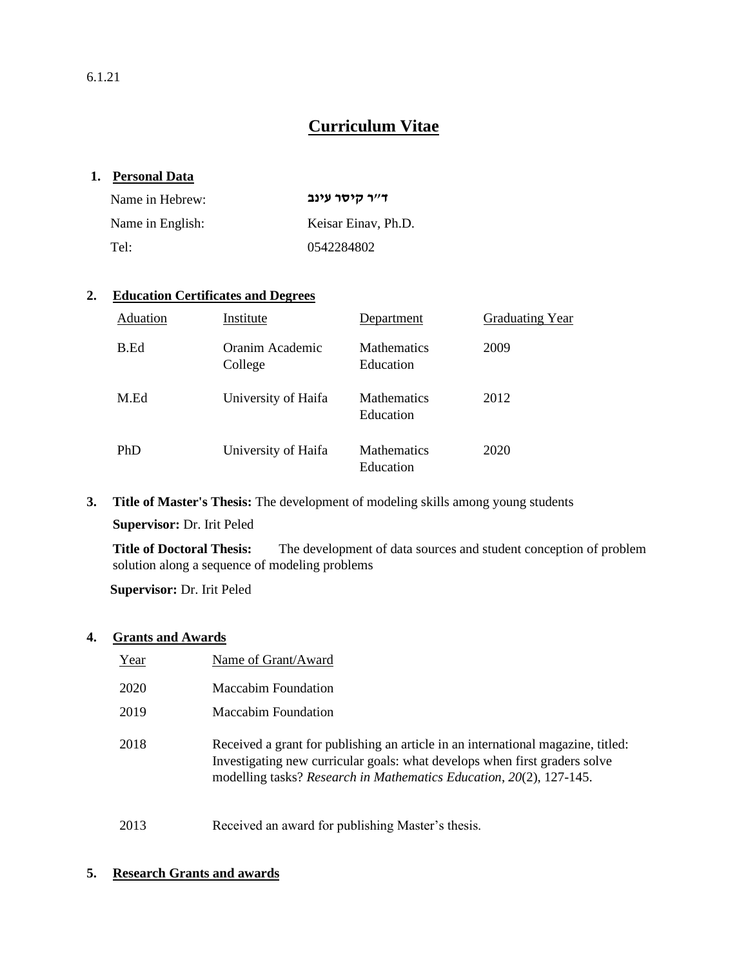6.1.21

# **Curriculum Vitae**

## **1. Personal Data**

| Name in Hebrew:  | ד״ר קיסר עינב       |
|------------------|---------------------|
| Name in English: | Keisar Einav. Ph.D. |
| Tel:             | 0542284802          |

### **2. Education Certificates and Degrees**

| Aduation | Institute                  | Department                      | <b>Graduating Year</b> |
|----------|----------------------------|---------------------------------|------------------------|
| B.Ed     | Oranim Academic<br>College | <b>Mathematics</b><br>Education | 2009                   |
| M.Ed     | University of Haifa        | <b>Mathematics</b><br>Education | 2012                   |
| PhD      | University of Haifa        | <b>Mathematics</b><br>Education | 2020                   |

**3. Title of Master's Thesis:** The development of modeling skills among young students

**Supervisor:** Dr. Irit Peled

**Title of Doctoral Thesis:** The development of data sources and student conception of problem solution along a sequence of modeling problems

**Supervisor:** Dr. Irit Peled

#### **4. Grants and Awards**

| Year | Name of Grant/Award                                                                                                                                                                                                                   |
|------|---------------------------------------------------------------------------------------------------------------------------------------------------------------------------------------------------------------------------------------|
| 2020 | <b>Maccabim Foundation</b>                                                                                                                                                                                                            |
| 2019 | <b>Maccabim Foundation</b>                                                                                                                                                                                                            |
| 2018 | Received a grant for publishing an article in an international magazine, titled:<br>Investigating new curricular goals: what develops when first graders solve<br>modelling tasks? Research in Mathematics Education, 20(2), 127-145. |

2013 Received an award for publishing Master's thesis.

## **5. Research Grants and awards**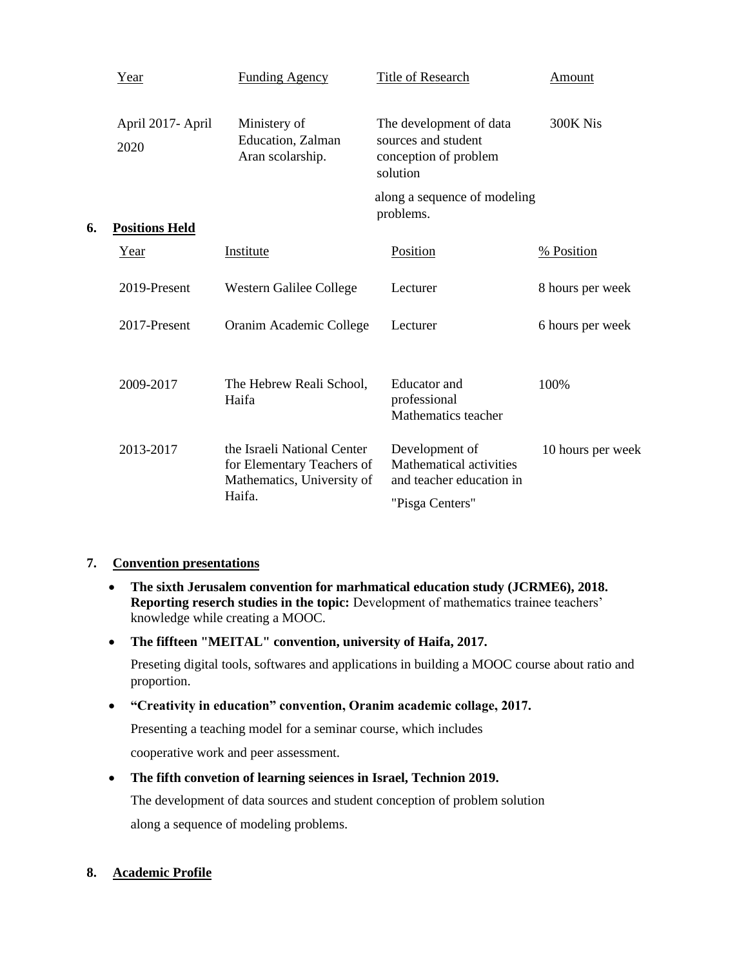|    | Year                      | <b>Funding Agency</b>                                                                             | <b>Title of Research</b>                                                                 | <b>Amount</b>     |
|----|---------------------------|---------------------------------------------------------------------------------------------------|------------------------------------------------------------------------------------------|-------------------|
|    | April 2017- April<br>2020 | Ministery of<br>Education, Zalman<br>Aran scolarship.                                             | The development of data<br>sources and student<br>conception of problem<br>solution      | 300K Nis          |
| 6. | <b>Positions Held</b>     |                                                                                                   | along a sequence of modeling<br>problems.                                                |                   |
|    | Year                      | Institute                                                                                         | Position                                                                                 | % Position        |
|    | 2019-Present              | Western Galilee College                                                                           | Lecturer                                                                                 | 8 hours per week  |
|    | 2017-Present              | Oranim Academic College                                                                           | Lecturer                                                                                 | 6 hours per week  |
|    | 2009-2017                 | The Hebrew Reali School,<br>Haifa                                                                 | <b>Educator</b> and<br>professional<br>Mathematics teacher                               | 100%              |
|    | 2013-2017                 | the Israeli National Center<br>for Elementary Teachers of<br>Mathematics, University of<br>Haifa. | Development of<br>Mathematical activities<br>and teacher education in<br>"Pisga Centers" | 10 hours per week |

## **7. Convention presentations**

- **The sixth Jerusalem convention for marhmatical education study (JCRME6), 2018. Reporting reserch studies in the topic:** Development of mathematics trainee teachers' knowledge while creating a MOOC.
- **The fiffteen "MEITAL" convention, university of Haifa, 2017.**

Preseting digital tools, softwares and applications in building a MOOC course about ratio and proportion.

• **"Creativity in education" convention, Oranim academic collage, 2017.**

Presenting a teaching model for a seminar course, which includes

cooperative work and peer assessment.

• **The fifth convetion of learning seiences in Israel, Technion 2019.**

The development of data sources and student conception of problem solution

along a sequence of modeling problems.

## **8. Academic Profile**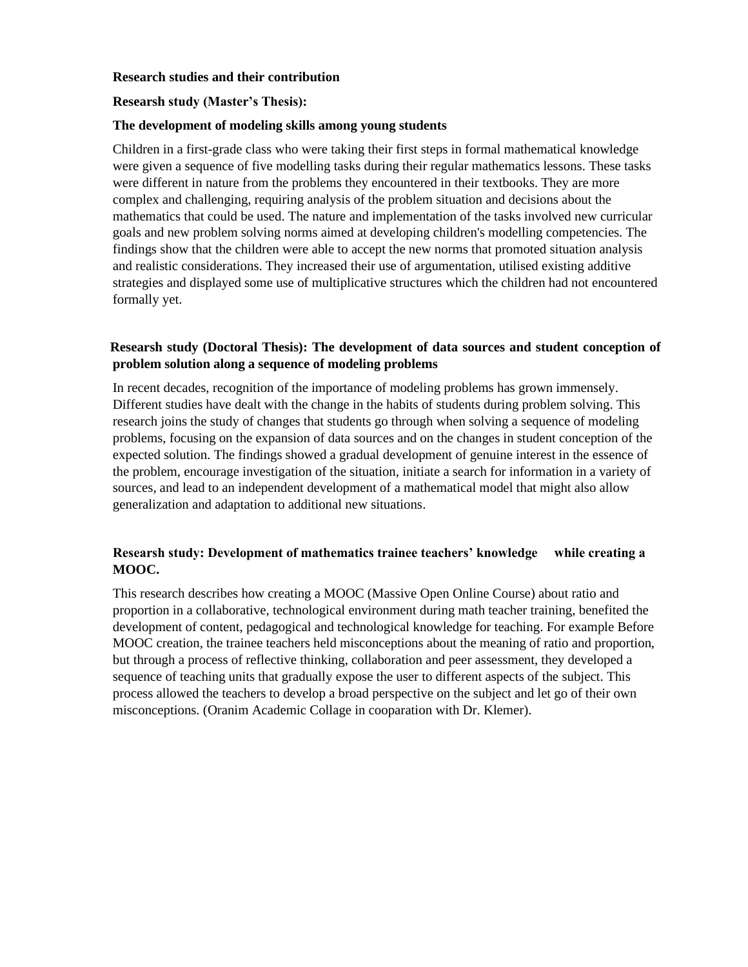#### **Research studies and their contribution**

#### **Researsh study (Master's Thesis):**

#### **The development of modeling skills among young students**

Children in a first-grade class who were taking their first steps in formal mathematical knowledge were given a sequence of five modelling tasks during their regular mathematics lessons. These tasks were different in nature from the problems they encountered in their textbooks. They are more complex and challenging, requiring analysis of the problem situation and decisions about the mathematics that could be used. The nature and implementation of the tasks involved new curricular goals and new problem solving norms aimed at developing children's modelling competencies. The findings show that the children were able to accept the new norms that promoted situation analysis and realistic considerations. They increased their use of argumentation, utilised existing additive strategies and displayed some use of multiplicative structures which the children had not encountered formally yet.

### **Researsh study (Doctoral Thesis): The development of data sources and student conception of problem solution along a sequence of modeling problems**

In recent decades, recognition of the importance of modeling problems has grown immensely. Different studies have dealt with the change in the habits of students during problem solving. This research joins the study of changes that students go through when solving a sequence of modeling problems, focusing on the expansion of data sources and on the changes in student conception of the expected solution. The findings showed a gradual development of genuine interest in the essence of the problem, encourage investigation of the situation, initiate a search for information in a variety of sources, and lead to an independent development of a mathematical model that might also allow generalization and adaptation to additional new situations.

## **Researsh study: Development of mathematics trainee teachers' knowledge while creating a MOOC.**

This research describes how creating a MOOC (Massive Open Online Course) about ratio and proportion in a collaborative, technological environment during math teacher training, benefited the development of content, pedagogical and technological knowledge for teaching. For example Before MOOC creation, the trainee teachers held misconceptions about the meaning of ratio and proportion, but through a process of reflective thinking, collaboration and peer assessment, they developed a sequence of teaching units that gradually expose the user to different aspects of the subject. This process allowed the teachers to develop a broad perspective on the subject and let go of their own misconceptions. (Oranim Academic Collage in cooparation with Dr. Klemer).